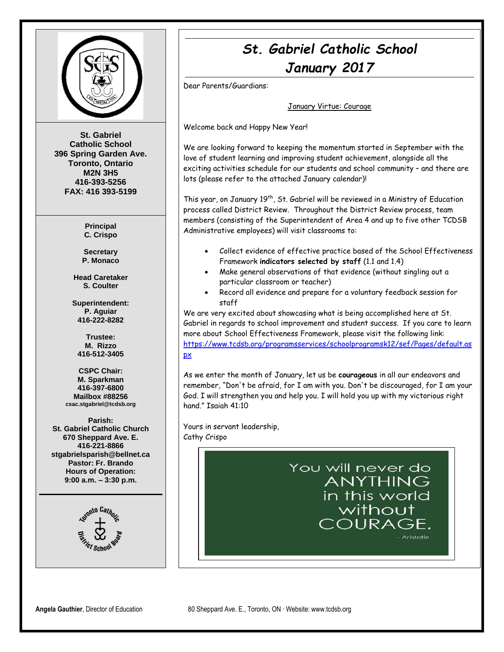

**St. Gabriel Catholic School 396 Spring Garden Ave. Toronto, Ontario M2N 3H5 416-393-5256 FAX: 416 393-5199**

> **Principal C. Crispo**

**Secretary P. Monaco**

**Head Caretaker S. Coulter**

**Superintendent: P. Aguiar 416-222-8282**

**Trustee: M. Rizzo 416-512-3405**

**CSPC Chair: M. Sparkman 416-397-6800 Mailbox #88256 csac.stgabriel@tcdsb.org**

**Parish: St. Gabriel Catholic Church 670 Sheppard Ave. E. 416-221-8866 stgabrielsparish@bellnet.ca Pastor: Fr. Brando Hours of Operation: 9:00 a.m. – 3:30 p.m.**



# *St. Gabriel Catholic School January 2017*

Dear Parents/Guardians:

#### January Virtue: Courage

Welcome back and Happy New Year!

We are looking forward to keeping the momentum started in September with the love of student learning and improving student achievement, alongside all the exciting activities schedule for our students and school community – and there are lots (please refer to the attached January calendar)!

This year, on January 19<sup>th</sup>, St. Gabriel will be reviewed in a Ministry of Education process called District Review. Throughout the District Review process, team members (consisting of the Superintendent of Area 4 and up to five other TCDSB Administrative employees) will visit classrooms to:

- Collect evidence of effective practice based of the School Effectiveness Framework **indicators selected by staff** (1.1 and 1.4)
- Make general observations of that evidence (without singling out a particular classroom or teacher)
- Record all evidence and prepare for a voluntary feedback session for staff

We are very excited about showcasing what is being accomplished here at St. Gabriel in regards to school improvement and student success. If you care to learn more about School Effectiveness Framework, please visit the following link: [https://www.tcdsb.org/programsservices/schoolprogramsk12/sef/Pages/default.as](https://www.tcdsb.org/programsservices/schoolprogramsk12/sef/Pages/default.aspx) [px](https://www.tcdsb.org/programsservices/schoolprogramsk12/sef/Pages/default.aspx) 

As we enter the month of January, let us be **courageous** in all our endeavors and remember, "Don't be afraid, for I am with you. Don't be discouraged, for I am your God. I will strengthen you and help you. I will hold you up with my victorious right hand." Isaiah 41:10

Yours in servant leadership, Cathy Crispo

> You will never do **ANYTHING** in this world without COURAGE. - Aristotle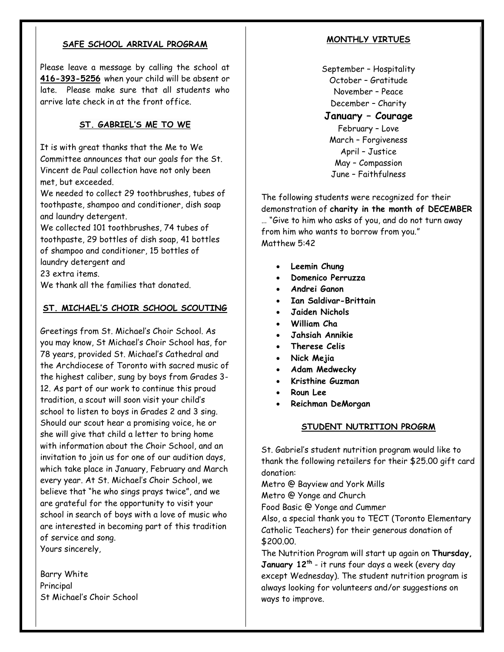# **SAFE SCHOOL ARRIVAL PROGRAM**

Please leave a message by calling the school at **416-393-5256** when your child will be absent or late. Please make sure that all students who arrive late check in at the front office.

# **ST. GABRIEL'S ME TO WE**

It is with great thanks that the Me to We Committee announces that our goals for the St. Vincent de Paul collection have not only been met, but exceeded.

We needed to collect 29 toothbrushes, tubes of toothpaste, shampoo and conditioner, dish soap and laundry detergent.

We collected 101 toothbrushes, 74 tubes of toothpaste, 29 bottles of dish soap, 41 bottles of shampoo and conditioner, 15 bottles of laundry detergent and

23 extra items.

We thank all the families that donated.

# **ST. MICHAEL'S CHOIR SCHOOL SCOUTING**

Greetings from St. Michael's Choir School. As you may know, St Michael's Choir School has, for 78 years, provided St. Michael's Cathedral and the Archdiocese of Toronto with sacred music of the highest caliber, sung by boys from Grades 3- 12. As part of our work to continue this proud tradition, a scout will soon visit your child's school to listen to boys in Grades 2 and 3 sing. Should our scout hear a promising voice, he or she will give that child a letter to bring home with information about the Choir School, and an invitation to join us for one of our audition days, which take place in January, February and March every year. At St. Michael's Choir School, we believe that "he who sings prays twice", and we are grateful for the opportunity to visit your school in search of boys with a love of music who are interested in becoming part of this tradition of service and song. Yours sincerely,

Barry White Principal St Michael's Choir School

## **MONTHLY VIRTUES**

September – Hospitality October – Gratitude November – Peace December – Charity

# **January – Courage**

February – Love March – Forgiveness April – Justice May – Compassion June – Faithfulness

The following students were recognized for their demonstration of **charity in the month of DECEMBER**  … "Give to him who asks of you, and do not turn away from him who wants to borrow from you." Matthew 5:42

- **Leemin Chung**
- **Domenico Perruzza**
- **Andrei Ganon**
- **Ian Saldivar-Brittain**
- **Jaiden Nichols**
- **William Cha**
- **Jahsiah Annikie**
- **Therese Celis**
- **Nick Mejia**
- **Adam Medwecky**
- **Kristhine Guzman**
- **Roun Lee**
- **Reichman DeMorgan**

### **STUDENT NUTRITION PROGRM**

St. Gabriel's student nutrition program would like to thank the following retailers for their \$25.00 gift card donation:

Metro @ Bayview and York Mills Metro @ Yonge and Church

Food Basic @ Yonge and Cummer

Also, a special thank you to TECT (Toronto Elementary Catholic Teachers) for their generous donation of \$200.00.

The Nutrition Program will start up again on **Thursday, January 12th** - it runs four days a week (every day except Wednesday). The student nutrition program is always looking for volunteers and/or suggestions on ways to improve.